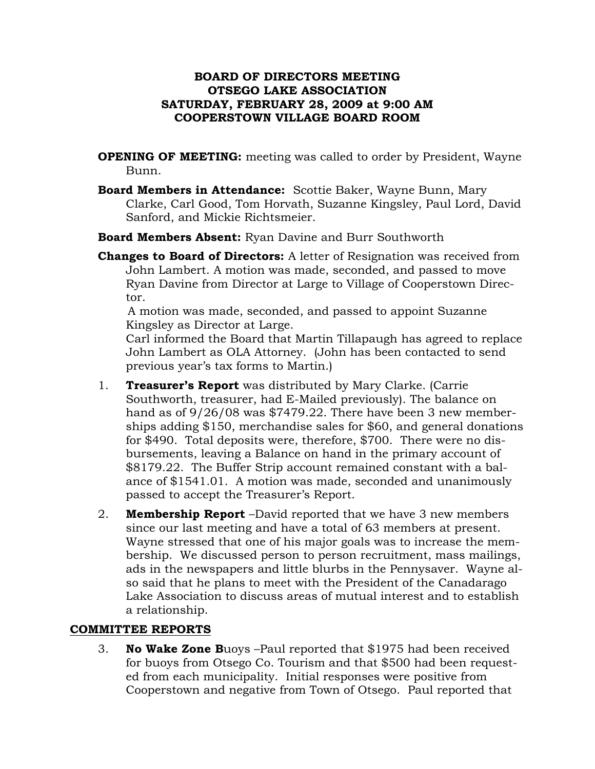### **BOARD OF DIRECTORS MEETING OTSEGO LAKE ASSOCIATION SATURDAY, FEBRUARY 28, 2009 at 9:00 AM COOPERSTOWN VILLAGE BOARD ROOM**

- **OPENING OF MEETING:** meeting was called to order by President, Wayne Bunn.
- **Board Members in Attendance:** Scottie Baker, Wayne Bunn, Mary Clarke, Carl Good, Tom Horvath, Suzanne Kingsley, Paul Lord, David Sanford, and Mickie Richtsmeier.
- **Board Members Absent:** Ryan Davine and Burr Southworth
- **Changes to Board of Directors:** A letter of Resignation was received from John Lambert. A motion was made, seconded, and passed to move Ryan Davine from Director at Large to Village of Cooperstown Director.

 A motion was made, seconded, and passed to appoint Suzanne Kingsley as Director at Large.

Carl informed the Board that Martin Tillapaugh has agreed to replace John Lambert as OLA Attorney. (John has been contacted to send previous year's tax forms to Martin.)

- 1. **Treasurer's Report** was distributed by Mary Clarke. (Carrie Southworth, treasurer, had E-Mailed previously). The balance on hand as of 9/26/08 was \$7479.22. There have been 3 new memberships adding \$150, merchandise sales for \$60, and general donations for \$490. Total deposits were, therefore, \$700. There were no disbursements, leaving a Balance on hand in the primary account of \$8179.22. The Buffer Strip account remained constant with a balance of \$1541.01. A motion was made, seconded and unanimously passed to accept the Treasurer's Report.
- 2. **Membership Report** –David reported that we have 3 new members since our last meeting and have a total of 63 members at present. Wayne stressed that one of his major goals was to increase the membership. We discussed person to person recruitment, mass mailings, ads in the newspapers and little blurbs in the Pennysaver. Wayne also said that he plans to meet with the President of the Canadarago Lake Association to discuss areas of mutual interest and to establish a relationship.

## **COMMITTEE REPORTS**

3. **No Wake Zone B**uoys –Paul reported that \$1975 had been received for buoys from Otsego Co. Tourism and that \$500 had been requested from each municipality. Initial responses were positive from Cooperstown and negative from Town of Otsego. Paul reported that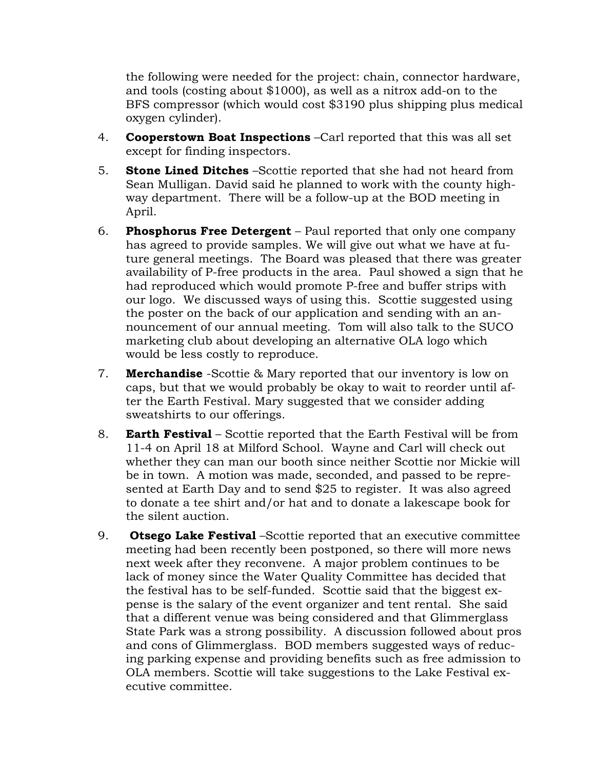the following were needed for the project: chain, connector hardware, and tools (costing about \$1000), as well as a nitrox add-on to the BFS compressor (which would cost \$3190 plus shipping plus medical oxygen cylinder).

- 4. **Cooperstown Boat Inspections** –Carl reported that this was all set except for finding inspectors.
- 5. **Stone Lined Ditches** –Scottie reported that she had not heard from Sean Mulligan. David said he planned to work with the county highway department. There will be a follow-up at the BOD meeting in April.
- 6. **Phosphorus Free Detergent** Paul reported that only one company has agreed to provide samples. We will give out what we have at future general meetings. The Board was pleased that there was greater availability of P-free products in the area. Paul showed a sign that he had reproduced which would promote P-free and buffer strips with our logo. We discussed ways of using this. Scottie suggested using the poster on the back of our application and sending with an announcement of our annual meeting. Tom will also talk to the SUCO marketing club about developing an alternative OLA logo which would be less costly to reproduce.
- 7. **Merchandise** -Scottie & Mary reported that our inventory is low on caps, but that we would probably be okay to wait to reorder until after the Earth Festival. Mary suggested that we consider adding sweatshirts to our offerings.
- 8. **Earth Festival** Scottie reported that the Earth Festival will be from 11-4 on April 18 at Milford School. Wayne and Carl will check out whether they can man our booth since neither Scottie nor Mickie will be in town. A motion was made, seconded, and passed to be represented at Earth Day and to send \$25 to register. It was also agreed to donate a tee shirt and/or hat and to donate a lakescape book for the silent auction.
- 9. **Otsego Lake Festival** –Scottie reported that an executive committee meeting had been recently been postponed, so there will more news next week after they reconvene. A major problem continues to be lack of money since the Water Quality Committee has decided that the festival has to be self-funded. Scottie said that the biggest expense is the salary of the event organizer and tent rental. She said that a different venue was being considered and that Glimmerglass State Park was a strong possibility. A discussion followed about pros and cons of Glimmerglass. BOD members suggested ways of reducing parking expense and providing benefits such as free admission to OLA members. Scottie will take suggestions to the Lake Festival executive committee.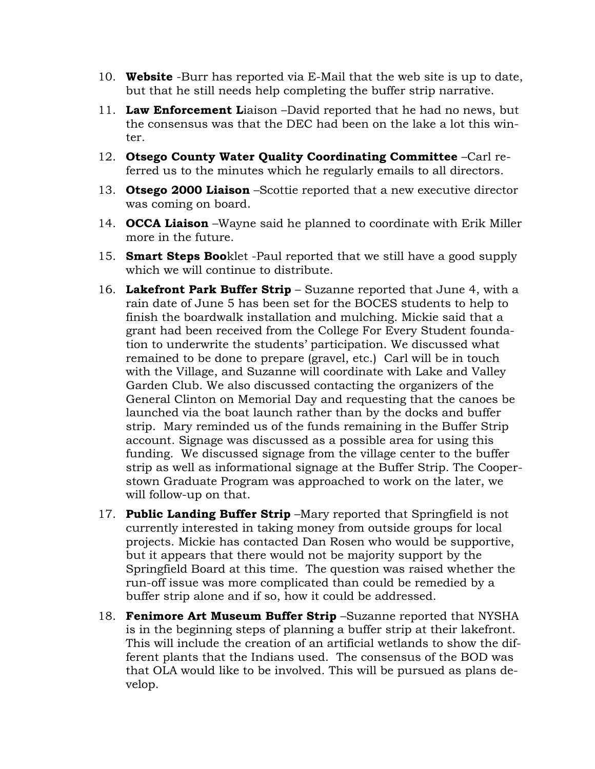- 10. **Website** -Burr has reported via E-Mail that the web site is up to date, but that he still needs help completing the buffer strip narrative.
- 11. **Law Enforcement L**iaison –David reported that he had no news, but the consensus was that the DEC had been on the lake a lot this winter.
- 12. **Otsego County Water Quality Coordinating Committee** –Carl referred us to the minutes which he regularly emails to all directors.
- 13. **Otsego 2000 Liaison** –Scottie reported that a new executive director was coming on board.
- 14. **OCCA Liaison** –Wayne said he planned to coordinate with Erik Miller more in the future.
- 15. **Smart Steps Boo**klet -Paul reported that we still have a good supply which we will continue to distribute.
- 16. **Lakefront Park Buffer Strip** Suzanne reported that June 4, with a rain date of June 5 has been set for the BOCES students to help to finish the boardwalk installation and mulching. Mickie said that a grant had been received from the College For Every Student foundation to underwrite the students' participation. We discussed what remained to be done to prepare (gravel, etc.) Carl will be in touch with the Village, and Suzanne will coordinate with Lake and Valley Garden Club. We also discussed contacting the organizers of the General Clinton on Memorial Day and requesting that the canoes be launched via the boat launch rather than by the docks and buffer strip. Mary reminded us of the funds remaining in the Buffer Strip account. Signage was discussed as a possible area for using this funding. We discussed signage from the village center to the buffer strip as well as informational signage at the Buffer Strip. The Cooperstown Graduate Program was approached to work on the later, we will follow-up on that.
- 17. **Public Landing Buffer Strip** –Mary reported that Springfield is not currently interested in taking money from outside groups for local projects. Mickie has contacted Dan Rosen who would be supportive, but it appears that there would not be majority support by the Springfield Board at this time. The question was raised whether the run-off issue was more complicated than could be remedied by a buffer strip alone and if so, how it could be addressed.
- 18. **Fenimore Art Museum Buffer Strip** –Suzanne reported that NYSHA is in the beginning steps of planning a buffer strip at their lakefront. This will include the creation of an artificial wetlands to show the different plants that the Indians used. The consensus of the BOD was that OLA would like to be involved. This will be pursued as plans develop.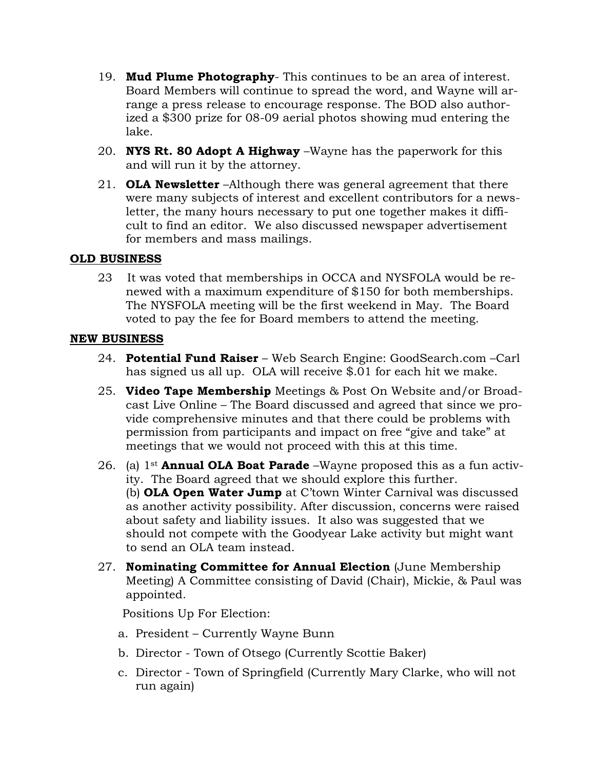- 19. **Mud Plume Photography** This continues to be an area of interest. Board Members will continue to spread the word, and Wayne will arrange a press release to encourage response. The BOD also authorized a \$300 prize for 08-09 aerial photos showing mud entering the lake.
- 20. **NYS Rt. 80 Adopt A Highway** –Wayne has the paperwork for this and will run it by the attorney.
- 21. **OLA Newsletter** –Although there was general agreement that there were many subjects of interest and excellent contributors for a newsletter, the many hours necessary to put one together makes it difficult to find an editor. We also discussed newspaper advertisement for members and mass mailings.

### **OLD BUSINESS**

23 It was voted that memberships in OCCA and NYSFOLA would be renewed with a maximum expenditure of \$150 for both memberships. The NYSFOLA meeting will be the first weekend in May. The Board voted to pay the fee for Board members to attend the meeting.

### **NEW BUSINESS**

- 24. **Potential Fund Raiser** Web Search Engine: GoodSearch.com –Carl has signed us all up. OLA will receive \$.01 for each hit we make.
- 25. **Video Tape Membership** Meetings & Post On Website and/or Broadcast Live Online – The Board discussed and agreed that since we provide comprehensive minutes and that there could be problems with permission from participants and impact on free "give and take" at meetings that we would not proceed with this at this time.
- 26. (a) 1st **Annual OLA Boat Parade** –Wayne proposed this as a fun activity. The Board agreed that we should explore this further. (b) **OLA Open Water Jump** at C'town Winter Carnival was discussed as another activity possibility. After discussion, concerns were raised about safety and liability issues. It also was suggested that we should not compete with the Goodyear Lake activity but might want to send an OLA team instead.
- 27. **Nominating Committee for Annual Election** (June Membership Meeting) A Committee consisting of David (Chair), Mickie, & Paul was appointed.

Positions Up For Election:

- a. President Currently Wayne Bunn
- b. Director Town of Otsego (Currently Scottie Baker)
- c. Director Town of Springfield (Currently Mary Clarke, who will not run again)